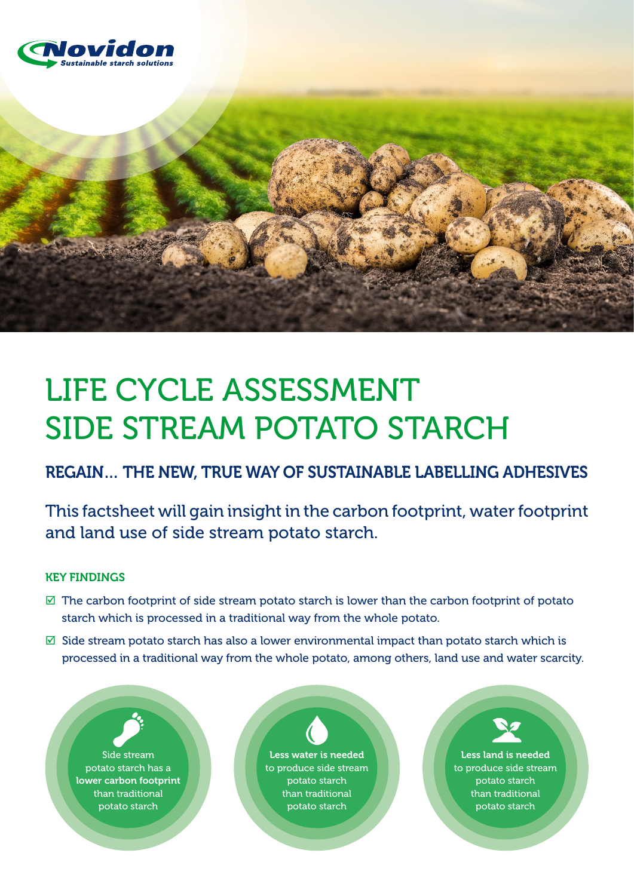



# Life Cycle Assessment SIDE STREAM POTATO STARCH

REGAIN… the new, true way of sustainable labelling adhesives

This factsheet will gain insight in the carbon footprint, water footprint and land use of side stream potato starch.

## Key findings

- $\boxtimes$  The carbon footprint of side stream potato starch is lower than the carbon footprint of potato starch which is processed in a traditional way from the whole potato.
- $\boxtimes$  Side stream potato starch has also a lower environmental impact than potato starch which is processed in a traditional way from the whole potato, among others, land use and water scarcity.

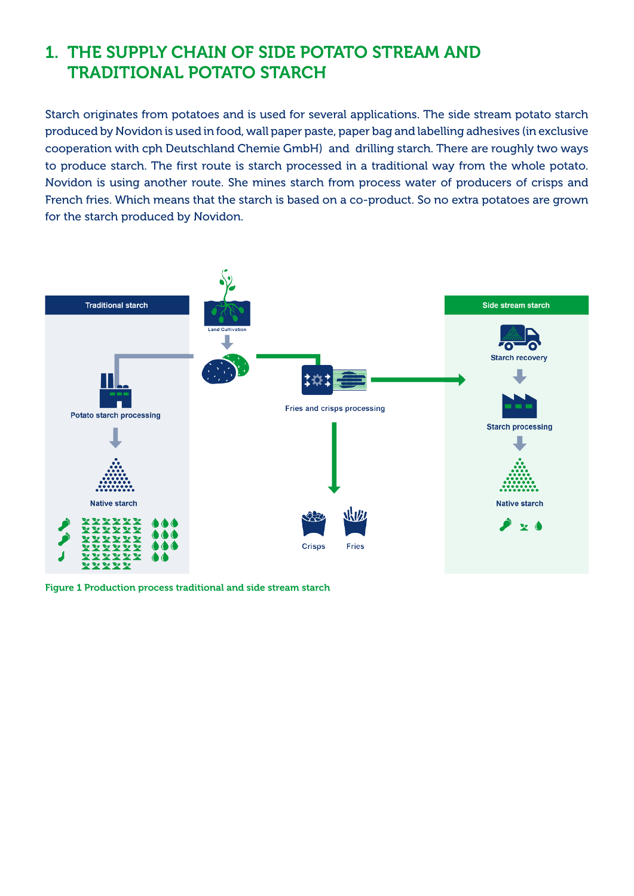# 1. The supply chain of side potato stream and **TRADITIONAL POTATO STARCH**

Starch originates from potatoes and is used for several applications. The side stream potato starch produced by Novidon is used in food, wall paper paste, paper bag and labelling adhesives (in exclusive cooperation with cph Deutschland Chemie GmbH) and drilling starch. There are roughly two ways to produce starch. The first route is starch processed in a traditional way from the whole potato. Novidon is using another route. She mines starch from process water of producers of crisps and French fries. Which means that the starch is based on a co-product. So no extra potatoes are grown for the starch produced by Novidon.



Figure 1 Production process traditional and side stream starch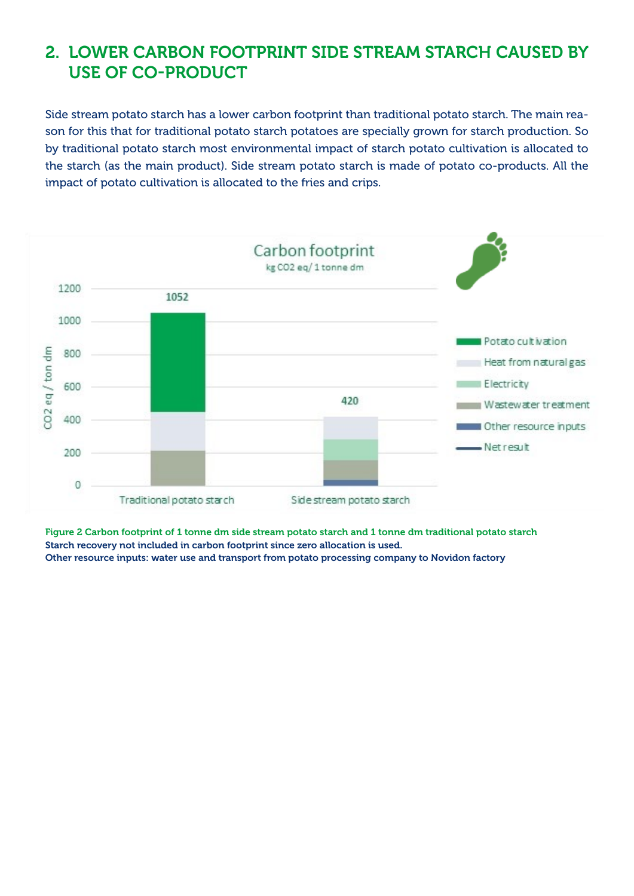## 2. Lower carbon footprint side stream starch caused by use of co-product

Side stream potato starch has a lower carbon footprint than traditional potato starch. The main reason for this that for traditional potato starch potatoes are specially grown for starch production. So by traditional potato starch most environmental impact of starch potato cultivation is allocated to the starch (as the main product). Side stream potato starch is made of potato co-products. All the impact of potato cultivation is allocated to the fries and crips.



Figure 2 Carbon footprint of 1 tonne dm side stream potato starch and 1 tonne dm traditional potato starch Starch recovery not included in carbon footprint since zero allocation is used. Other resource inputs: water use and transport from potato processing company to Novidon factory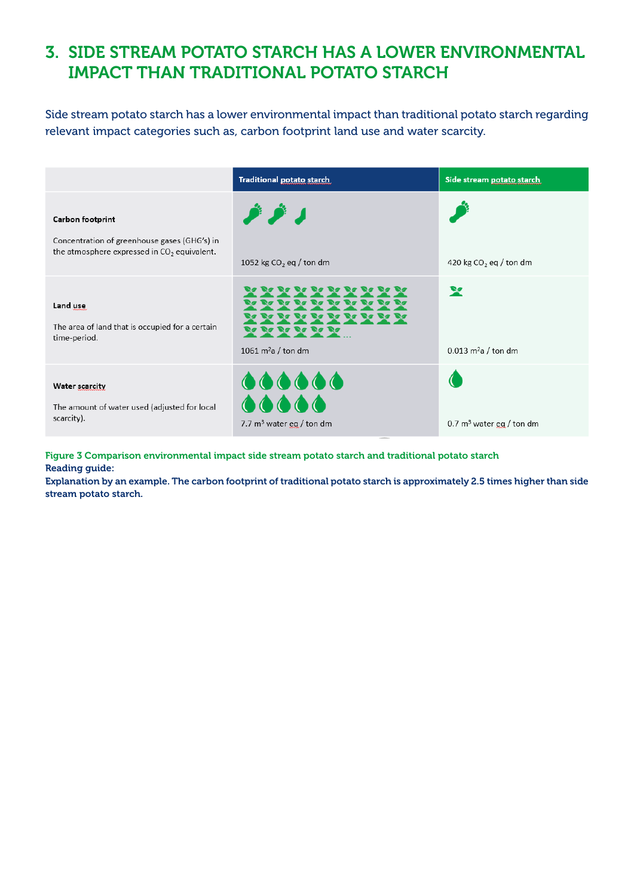## 3. Side stream potato starch has a lower environmental impact than traditional potato starch

Side stream potato starch has a lower environmental impact than traditional potato starch regarding relevant impact categories such as, carbon footprint land use and water scarcity.

|                                                                                                                   | Traditional potato starch                                       | Side stream potato starch                         |
|-------------------------------------------------------------------------------------------------------------------|-----------------------------------------------------------------|---------------------------------------------------|
| Carbon footprint<br>Concentration of greenhouse gases (GHG's) in<br>the atmosphere expressed in $CO2$ equivalent. | ر فر فر<br>1052 kg $CO2$ eq / ton dm                            | 420 kg $CO2$ eq / ton dm                          |
| Land use<br>The area of land that is occupied for a certain<br>time-period.                                       | 80 80 80 80 '<br><b>BE BE BE BE BE</b><br>1061 $m^2$ a / ton dm | $\mathbf{x}$<br>$0.013$ m <sup>2</sup> a / ton dm |
| Water scarcity<br>The amount of water used (adjusted for local<br>scarcity).                                      | 000000<br>00000<br>7.7 $m3$ water eg / ton dm                   | 0.7 $m3$ water eg / ton dm                        |

Figure 3 Comparison environmental impact side stream potato starch and traditional potato starch Reading guide:

Explanation by an example. The carbon footprint of traditional potato starch is approximately 2.5 times higher than side stream potato starch.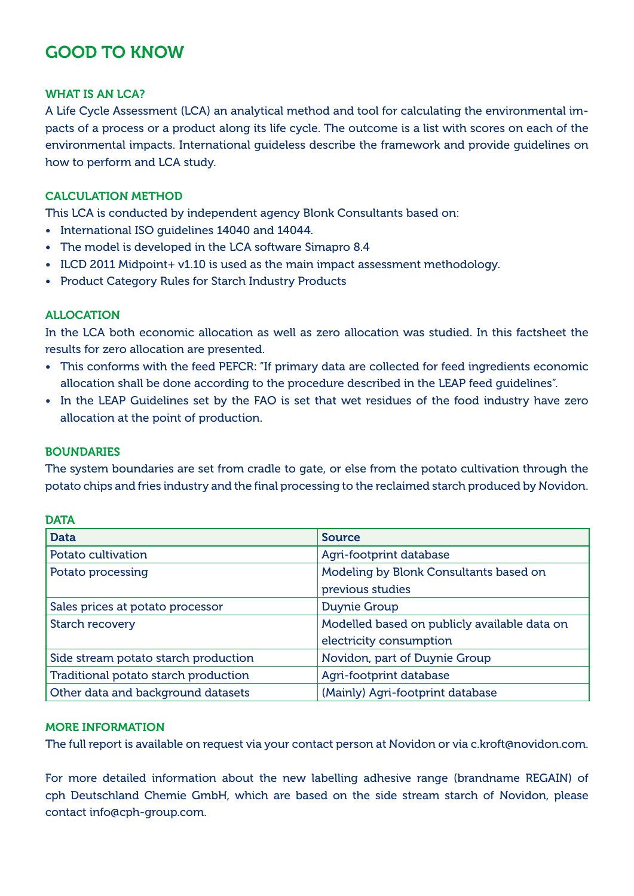# Good to know

#### WHAT IS AN LCA?

A Life Cycle Assessment (LCA) an analytical method and tool for calculating the environmental impacts of a process or a product along its life cycle. The outcome is a list with scores on each of the environmental impacts. International guideless describe the framework and provide guidelines on how to perform and LCA study.

#### Calculation method

This LCA is conducted by independent agency Blonk Consultants based on:

- • International ISO guidelines 14040 and 14044.
- The model is developed in the LCA software Simapro 8.4
- ILCD 2011 Midpoint+ v1.10 is used as the main impact assessment methodology.
- Product Category Rules for Starch Industry Products

#### Allocation

In the LCA both economic allocation as well as zero allocation was studied. In this factsheet the results for zero allocation are presented.

- This conforms with the feed PEFCR: "If primary data are collected for feed ingredients economic allocation shall be done according to the procedure described in the LEAP feed guidelines".
- In the LEAP Guidelines set by the FAO is set that wet residues of the food industry have zero allocation at the point of production.

#### **BOUNDARIES**

The system boundaries are set from cradle to gate, or else from the potato cultivation through the potato chips and fries industry and the final processing to the reclaimed starch produced by Novidon.

| <b>Data</b>                          | <b>Source</b>                                |  |
|--------------------------------------|----------------------------------------------|--|
| Potato cultivation                   | Agri-footprint database                      |  |
| Potato processing                    | Modeling by Blonk Consultants based on       |  |
|                                      | previous studies                             |  |
| Sales prices at potato processor     | <b>Duynie Group</b>                          |  |
| <b>Starch recovery</b>               | Modelled based on publicly available data on |  |
|                                      | electricity consumption                      |  |
| Side stream potato starch production | Novidon, part of Duynie Group                |  |
| Traditional potato starch production | Agri-footprint database                      |  |
| Other data and background datasets   | (Mainly) Agri-footprint database             |  |

### **DATA**

#### More information

The full report is available on request via your contact person at Novidon or via c.kroft@novidon.com.

For more detailed information about the new labelling adhesive range (brandname REGAIN) of cph Deutschland Chemie GmbH, which are based on the side stream starch of Novidon, please contact info@cph-group.com.